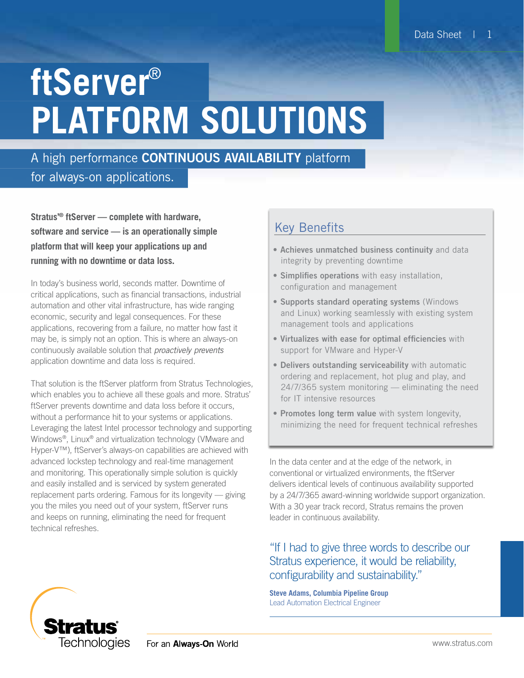# **ftServer**® **PLATFORM SOLUTIONS**

## A high performance **CONTINUOUS AVAILABILITY** platform

## for always-on applications.

**Stratus'® ftServer — complete with hardware, software and service — is an operationally simple platform that will keep your applications up and running with no downtime or data loss.** 

In today's business world, seconds matter. Downtime of critical applications, such as financial transactions, industrial automation and other vital infrastructure, has wide ranging economic, security and legal consequences. For these applications, recovering from a failure, no matter how fast it may be, is simply not an option. This is where an always-on continuously available solution that *proactively prevents* application downtime and data loss is required.

That solution is the ftServer platform from Stratus Technologies, which enables you to achieve all these goals and more. Stratus' ftServer prevents downtime and data loss before it occurs, without a performance hit to your systems or applications. Leveraging the latest Intel processor technology and supporting Windows®, Linux® and virtualization technology (VMware and Hyper-V™), ftServer's always-on capabilities are achieved with advanced lockstep technology and real-time management and monitoring. This operationally simple solution is quickly and easily installed and is serviced by system generated replacement parts ordering. Famous for its longevity — giving you the miles you need out of your system, ftServer runs and keeps on running, eliminating the need for frequent technical refreshes.

### Key Benefits

- Achieves unmatched business continuity and data integrity by preventing downtime
- Simplifies operations with easy installation, configuration and management
- Supports standard operating systems (Windows and Linux) working seamlessly with existing system management tools and applications
- Virtualizes with ease for optimal efficiencies with support for VMware and Hyper-V
- Delivers outstanding serviceability with automatic ordering and replacement, hot plug and play, and 24/7/365 system monitoring — eliminating the need for IT intensive resources
- Promotes long term value with system longevity, minimizing the need for frequent technical refreshes

In the data center and at the edge of the network, in conventional or virtualized environments, the ftServer delivers identical levels of continuous availability supported by a 24/7/365 award-winning worldwide support organization. With a 30 year track record, Stratus remains the proven leader in continuous availability.

#### "If I had to give three words to describe our Stratus experience, it would be reliability, configurability and sustainability."

**Steve Adams, Columbia Pipeline Group** Lead Automation Electrical Engineer

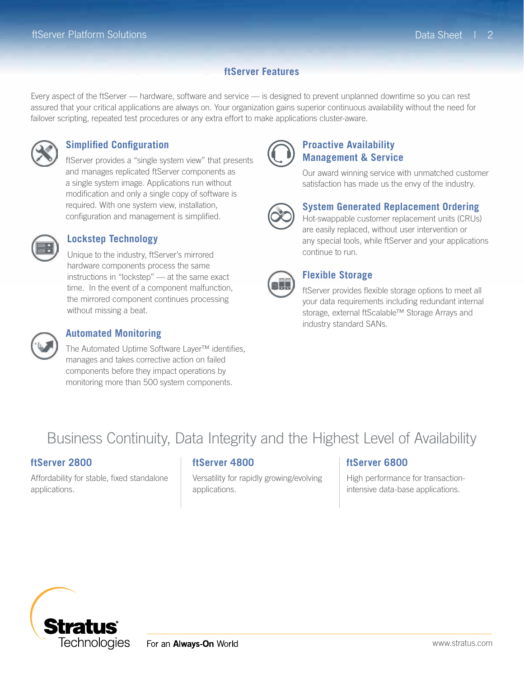#### **ftServer Features**

Every aspect of the ftServer — hardware, software and service — is designed to prevent unplanned downtime so you can rest assured that your critical applications are always on. Your organization gains superior continuous availability without the need for failover scripting, repeated test procedures or any extra effort to make applications cluster-aware.



#### **Simplified Configuration**

ftServer provides a "single system view" that presents and manages replicated ftServer components as a single system image. Applications run without modification and only a single copy of software is required. With one system view, installation, configuration and management is simplified.



#### **Lockstep Technology**

Unique to the industry, ftServer's mirrored hardware components process the same instructions in "lockstep" — at the same exact time. In the event of a component malfunction, the mirrored component continues processing without missing a beat.



#### **Automated Monitoring**

The Automated Uptime Software Layer™ identifies, manages and takes corrective action on failed components before they impact operations by monitoring more than 500 system components.



#### **Proactive Availability Management & Service**

Our award winning service with unmatched customer satisfaction has made us the envy of the industry.



#### **System Generated Replacement Ordering**

Hot-swappable customer replacement units (CRUs) are easily replaced, without user intervention or any special tools, while ftServer and your applications continue to run.



#### **Flexible Storage**

ftServer provides flexible storage options to meet all your data requirements including redundant internal storage, external ftScalable™ Storage Arrays and industry standard SANs.

## Business Continuity, Data Integrity and the Highest Level of Availability

#### **ftServer 2800**

Affordability for stable, fixed standalone applications.

#### **ftServer 4800**

Versatility for rapidly growing/evolving applications.

#### **ftServer 6800**

High performance for transactionintensive data-base applications.

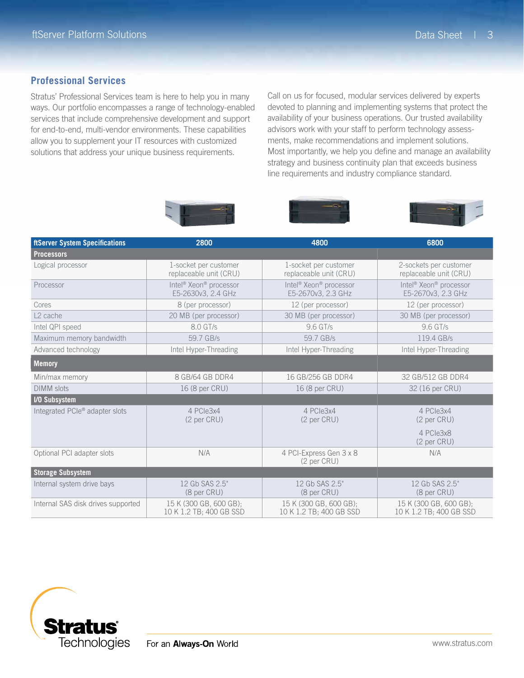#### **Professional Services**

Stratus' Professional Services team is here to help you in many ways. Our portfolio encompasses a range of technology-enabled services that include comprehensive development and support for end-to-end, multi-vendor environments. These capabilities allow you to supplement your IT resources with customized solutions that address your unique business requirements.

Call on us for focused, modular services delivered by experts devoted to planning and implementing systems that protect the availability of your business operations. Our trusted availability advisors work with your staff to perform technology assessments, make recommendations and implement solutions. Most importantly, we help you define and manage an availability strategy and business continuity plan that exceeds business line requirements and industry compliance standard.







| <b>ftServer System Specifications</b> | 2800                                                                 | 4800                                                                 | 6800                                                                 |
|---------------------------------------|----------------------------------------------------------------------|----------------------------------------------------------------------|----------------------------------------------------------------------|
| <b>Processors</b>                     |                                                                      |                                                                      |                                                                      |
| Logical processor                     | 1-socket per customer<br>replaceable unit (CRU)                      | 1-socket per customer<br>replaceable unit (CRU)                      | 2-sockets per customer<br>replaceable unit (CRU)                     |
| Processor                             | Intel <sup>®</sup> Xeon <sup>®</sup> processor<br>E5-2630v3, 2.4 GHz | Intel <sup>®</sup> Xeon <sup>®</sup> processor<br>E5-2670v3, 2.3 GHz | Intel <sup>®</sup> Xeon <sup>®</sup> processor<br>E5-2670v3, 2.3 GHz |
| Cores                                 | 8 (per processor)                                                    | 12 (per processor)                                                   | 12 (per processor)                                                   |
| L <sub>2</sub> cache                  | 20 MB (per processor)                                                | 30 MB (per processor)                                                | 30 MB (per processor)                                                |
| Intel QPI speed                       | 8.0 GT/s                                                             | 9.6 GT/s                                                             | 9.6 GT/s                                                             |
| Maximum memory bandwidth              | 59.7 GB/s                                                            | 59.7 GB/s                                                            | 119.4 GB/s                                                           |
| Advanced technology                   | Intel Hyper-Threading                                                | Intel Hyper-Threading                                                | Intel Hyper-Threading                                                |
| <b>Memory</b>                         |                                                                      |                                                                      |                                                                      |
| Min/max memory                        | 8 GB/64 GB DDR4                                                      | 16 GB/256 GB DDR4                                                    | 32 GB/512 GB DDR4                                                    |
| <b>DIMM</b> slots                     | 16 (8 per CRU)                                                       | 16 (8 per CRU)                                                       | 32 (16 per CRU)                                                      |
| <b>I/O Subsystem</b>                  |                                                                      |                                                                      |                                                                      |
| Integrated PCIe® adapter slots        | 4 PCIe3x4<br>(2 <sub>per</sub> CRU)                                  | 4 PCIe3x4<br>(2 per CRU)                                             | 4 PCIe3x4<br>(2 per CRU)                                             |
|                                       |                                                                      |                                                                      | 4 PCle3x8<br>(2 per CRU)                                             |
| Optional PCI adapter slots            | N/A                                                                  | 4 PCI-Express Gen 3 x 8<br>(2 <sub>per</sub> CRU)                    | N/A                                                                  |
| <b>Storage Subsystem</b>              |                                                                      |                                                                      |                                                                      |
| Internal system drive bays            | 12 Gb SAS 2.5"<br>(8 <sub>per</sub> CRU)                             | 12 Gb SAS 2.5"<br>(8 per CRU)                                        | 12 Gb SAS 2.5"<br>(8 per CRU)                                        |
| Internal SAS disk drives supported    | 15 K (300 GB, 600 GB);<br>10 K 1.2 TB; 400 GB SSD                    | 15 K (300 GB, 600 GB);<br>10 K 1.2 TB; 400 GB SSD                    | 15 K (300 GB, 600 GB);<br>10 K 1.2 TB; 400 GB SSD                    |